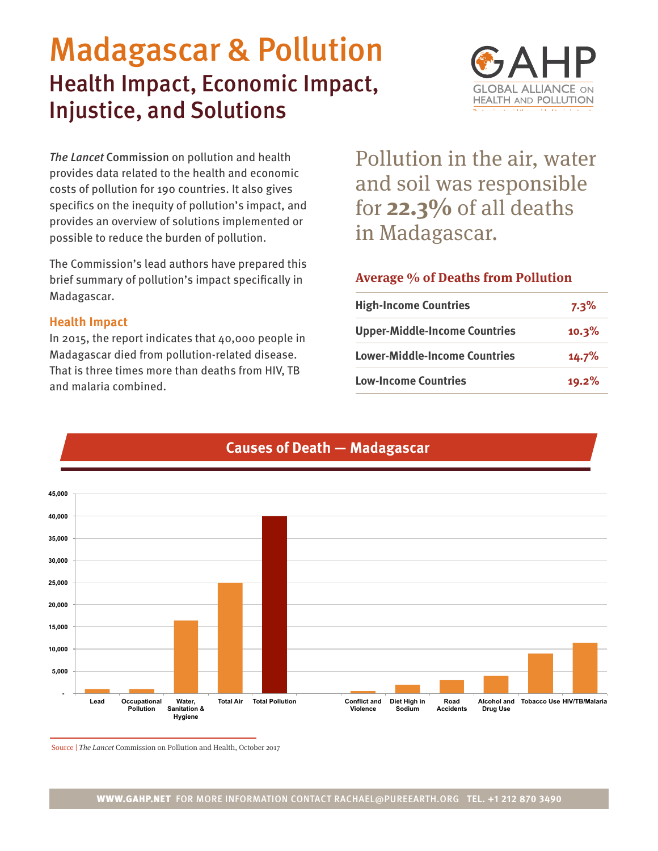# Madagascar & Pollution Health Impact, Economic Impact, Injustice, and Solutions



*The Lancet* Commission on pollution and health provides data related to the health and economic costs of pollution for 190 countries. It also gives specifics on the inequity of pollution's impact, and provides an overview of solutions implemented or possible to reduce the burden of pollution.

The Commission's lead authors have prepared this brief summary of pollution's impact specifically in Madagascar.

### **Health Impact**

In 2015, the report indicates that 40,000 people in Madagascar died from pollution-related disease. That is three times more than deaths from HIV, TB and malaria combined.

Pollution in the air, water and soil was responsible for **22.3%** of all deaths in Madagascar.

# **Average % of Deaths from Pollution**

| <b>High-Income Countries</b>         | $7.3\%$ |
|--------------------------------------|---------|
| <b>Upper-Middle-Income Countries</b> | 10.3%   |
| <b>Lower-Middle-Income Countries</b> | 14.7%   |
| <b>Low-Income Countries</b>          | 19.2%   |



# **Causes of Death — Madagascar**

Source | The Lancet Commission on Pollution and Health, October 2017